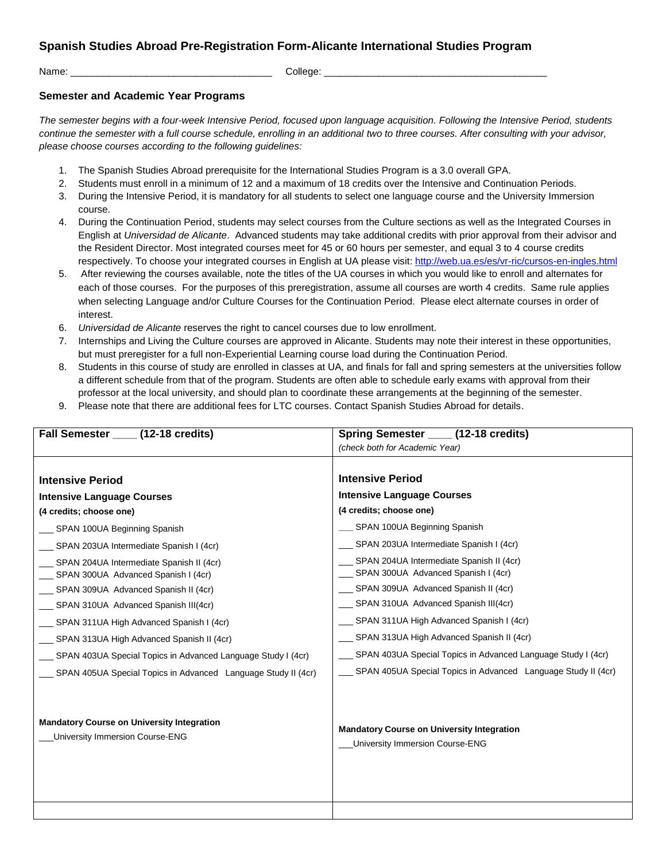## **Spanish Studies Abroad Pre-Registration Form-Alicante International Studies Program**

Name: \_\_\_\_\_\_\_\_\_\_\_\_\_\_\_\_\_\_\_\_\_\_\_\_\_\_\_\_\_\_\_\_\_\_\_\_\_ College: \_\_\_\_\_\_\_\_\_\_\_\_\_\_\_\_\_\_\_\_\_\_\_\_\_\_\_\_\_\_\_\_\_\_\_\_\_\_\_\_\_

## **Semester and Academic Year Programs**

*The semester begins with a four-week Intensive Period, focused upon language acquisition. Following the Intensive Period, students continue the semester with a full course schedule, enrolling in an additional two to three courses. After consulting with your advisor, please choose courses according to the following guidelines:*

- 1. The Spanish Studies Abroad prerequisite for the International Studies Program is a 3.0 overall GPA.
- 2. Students must enroll in a minimum of 12 and a maximum of 18 credits over the Intensive and Continuation Periods.
- 3. During the Intensive Period, it is mandatory for all students to select one language course and the University Immersion course.
- 4. During the Continuation Period, students may select courses from the Culture sections as well as the Integrated Courses in English at *Universidad de Alicante*. Advanced students may take additional credits with prior approval from their advisor and the Resident Director. Most integrated courses meet for 45 or 60 hours per semester, and equal 3 to 4 course credits respectively. To choose your integrated courses in English at UA please visit[: http://web.ua.es/es/vr-ric/cursos-en-ingles.html](http://web.ua.es/es/vr-ric/cursos-en-ingles.html)
- 5. After reviewing the courses available, note the titles of the UA courses in which you would like to enroll and alternates for each of those courses. For the purposes of this preregistration, assume all courses are worth 4 credits. Same rule applies when selecting Language and/or Culture Courses for the Continuation Period. Please elect alternate courses in order of interest.
- 6. *Universidad de Alicante* reserves the right to cancel courses due to low enrollment.
- 7. Internships and Living the Culture courses are approved in Alicante. Students may note their interest in these opportunities, but must preregister for a full non-Experiential Learning course load during the Continuation Period.
- 8. Students in this course of study are enrolled in classes at UA, and finals for fall and spring semesters at the universities follow a different schedule from that of the program. Students are often able to schedule early exams with approval from their professor at the local university, and should plan to coordinate these arrangements at the beginning of the semester.
- 9. Please note that there are additional fees for LTC courses. Contact Spanish Studies Abroad for details.

| Fall Semester (12-18 credits)                                                        | Spring Semester (12-18 credits)                                                             |
|--------------------------------------------------------------------------------------|---------------------------------------------------------------------------------------------|
|                                                                                      | (check both for Academic Year)                                                              |
|                                                                                      |                                                                                             |
| <b>Intensive Period</b>                                                              | <b>Intensive Period</b>                                                                     |
| <b>Intensive Language Courses</b>                                                    | <b>Intensive Language Courses</b>                                                           |
| (4 credits; choose one)                                                              | (4 credits; choose one)                                                                     |
| SPAN 100UA Beginning Spanish                                                         | __ SPAN 100UA Beginning Spanish                                                             |
| SPAN 203UA Intermediate Spanish I (4cr)                                              | SPAN 203UA Intermediate Spanish I (4cr)                                                     |
| SPAN 204UA Intermediate Spanish II (4cr)<br>SPAN 300UA Advanced Spanish I (4cr)      | SPAN 204UA Intermediate Spanish II (4cr)<br>SPAN 300UA Advanced Spanish I (4cr)             |
| __ SPAN 309UA Advanced Spanish II (4cr)                                              | SPAN 309UA Advanced Spanish II (4cr)                                                        |
| SPAN 310UA Advanced Spanish III(4cr)                                                 | SPAN 310UA Advanced Spanish III(4cr)                                                        |
| SPAN 311UA High Advanced Spanish I (4cr)                                             | SPAN 311UA High Advanced Spanish I (4cr)                                                    |
| SPAN 313UA High Advanced Spanish II (4cr)                                            | SPAN 313UA High Advanced Spanish II (4cr)                                                   |
| SPAN 403UA Special Topics in Advanced Language Study I (4cr)                         | SPAN 403UA Special Topics in Advanced Language Study I (4cr)                                |
| SPAN 405UA Special Topics in Advanced Language Study II (4cr)                        | SPAN 405UA Special Topics in Advanced Language Study II (4cr)                               |
| <b>Mandatory Course on University Integration</b><br>University Immersion Course-ENG | <b>Mandatory Course on University Integration</b><br><b>University Immersion Course-ENG</b> |
|                                                                                      |                                                                                             |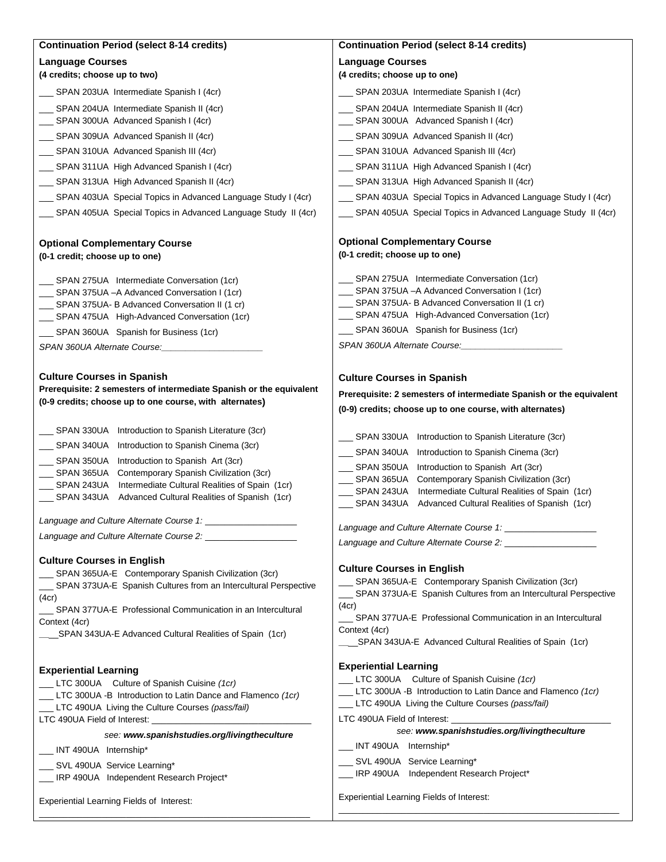| <b>Continuation Period (select 8-14 credits)</b>                                                         | <b>Continuation Period (select 8-14 credits)</b>                                                                      |
|----------------------------------------------------------------------------------------------------------|-----------------------------------------------------------------------------------------------------------------------|
| <b>Language Courses</b>                                                                                  | <b>Language Courses</b>                                                                                               |
| (4 credits; choose up to two)                                                                            | (4 credits; choose up to one)                                                                                         |
| __ SPAN 203UA Intermediate Spanish I (4cr)                                                               | SPAN 203UA Intermediate Spanish I (4cr)                                                                               |
| SPAN 204UA Intermediate Spanish II (4cr)                                                                 | SPAN 204UA Intermediate Spanish II (4cr)                                                                              |
| __ SPAN 300UA Advanced Spanish I (4cr)                                                                   | SPAN 300UA Advanced Spanish I (4cr)                                                                                   |
| __ SPAN 309UA Advanced Spanish II (4cr)                                                                  | SPAN 309UA Advanced Spanish II (4cr)                                                                                  |
| __ SPAN 310UA Advanced Spanish III (4cr)                                                                 | SPAN 310UA Advanced Spanish III (4cr)                                                                                 |
| __ SPAN 311UA High Advanced Spanish I (4cr)                                                              | SPAN 311UA High Advanced Spanish I (4cr)                                                                              |
| __ SPAN 313UA High Advanced Spanish II (4cr)                                                             | SPAN 313UA High Advanced Spanish II (4cr)                                                                             |
| __ SPAN 403UA Special Topics in Advanced Language Study I (4cr)                                          | __ SPAN 403UA Special Topics in Advanced Language Study I (4cr)                                                       |
| __ SPAN 405UA Special Topics in Advanced Language Study II (4cr)                                         | __ SPAN 405UA Special Topics in Advanced Language Study II (4cr)                                                      |
| <b>Optional Complementary Course</b><br>(0-1 credit; choose up to one)                                   | <b>Optional Complementary Course</b><br>(0-1 credit; choose up to one)                                                |
| __ SPAN 275UA Intermediate Conversation (1cr)                                                            | SPAN 275UA Intermediate Conversation (1cr)                                                                            |
| SPAN 375UA - A Advanced Conversation I (1cr)                                                             | _ SPAN 375UA - A Advanced Conversation I (1cr)                                                                        |
| __ SPAN 375UA- B Advanced Conversation II (1 cr)                                                         | SPAN 375UA- B Advanced Conversation II (1 cr)                                                                         |
| __ SPAN 475UA High-Advanced Conversation (1cr)                                                           | SPAN 475UA High-Advanced Conversation (1cr)<br>SPAN 360UA Spanish for Business (1cr)                                  |
| __ SPAN 360UA Spanish for Business (1cr)                                                                 | SPAN 360UA Alternate Course:                                                                                          |
| SPAN 360UA Alternate Course:                                                                             |                                                                                                                       |
| <b>Culture Courses in Spanish</b>                                                                        | <b>Culture Courses in Spanish</b>                                                                                     |
| Prerequisite: 2 semesters of intermediate Spanish or the equivalent                                      | Prerequisite: 2 semesters of intermediate Spanish or the equivalent                                                   |
| (0-9 credits; choose up to one course, with alternates)                                                  | (0-9) credits; choose up to one course, with alternates)                                                              |
|                                                                                                          |                                                                                                                       |
| SPAN 330UA Introduction to Spanish Literature (3cr)                                                      | SPAN 330UA Introduction to Spanish Literature (3cr)                                                                   |
| $\rule{1em}{0.15mm}$ SPAN 340UA<br>Introduction to Spanish Cinema (3cr)                                  | SPAN 340UA Introduction to Spanish Cinema (3cr)                                                                       |
| Introduction to Spanish Art (3cr)<br>SPAN 350UA<br>SPAN 365UA<br>Contemporary Spanish Civilization (3cr) | SPAN 350UA<br>Introduction to Spanish Art (3cr)                                                                       |
| Intermediate Cultural Realities of Spain (1cr)<br>$\_\_\$ SPAN 243UA                                     | SPAN 365UA<br>Contemporary Spanish Civilization (3cr)<br>SPAN 243UA<br>Intermediate Cultural Realities of Spain (1cr) |
| $\overline{\phantom{0}}$ SPAN 343UA<br>Advanced Cultural Realities of Spanish (1cr)                      | SPAN 343UA<br>Advanced Cultural Realities of Spanish (1cr)                                                            |
| Language and Culture Alternate Course 1:                                                                 |                                                                                                                       |
| Language and Culture Alternate Course 2:                                                                 | Language and Culture Alternate Course 1:                                                                              |
|                                                                                                          |                                                                                                                       |
| <b>Culture Courses in English</b><br>SPAN 365UA-E Contemporary Spanish Civilization (3cr)                | <b>Culture Courses in English</b>                                                                                     |
| __ SPAN 373UA-E Spanish Cultures from an Intercultural Perspective                                       | _ SPAN 365UA-E Contemporary Spanish Civilization (3cr)                                                                |
| (4cr)                                                                                                    | _ SPAN 373UA-E Spanish Cultures from an Intercultural Perspective                                                     |
| SPAN 377UA-E Professional Communication in an Intercultural                                              | (4cr)<br>SPAN 377UA-E Professional Communication in an Intercultural                                                  |
| Context (4cr)<br>___SPAN 343UA-E Advanced Cultural Realities of Spain (1cr)                              | Context (4cr)                                                                                                         |
|                                                                                                          | SPAN 343UA-E Advanced Cultural Realities of Spain (1cr)                                                               |
|                                                                                                          | <b>Experiential Learning</b>                                                                                          |
| <b>Experiential Learning</b><br>LTC 300UA Culture of Spanish Cuisine (1cr)                               | LTC 300UA Culture of Spanish Cuisine (1cr)                                                                            |
| LTC 300UA -B Introduction to Latin Dance and Flamenco (1cr)                                              | LTC 300UA -B Introduction to Latin Dance and Flamenco (1cr)                                                           |
| LTC 490UA Living the Culture Courses (pass/fail)                                                         | _LTC 490UA Living the Culture Courses (pass/fail)                                                                     |
|                                                                                                          | LTC 490UA Field of Interest: _______________<br>see: www.spanishstudies.org/livingtheculture                          |
| see: www.spanishstudies.org/livingtheculture                                                             | _INT 490UA Internship*                                                                                                |
| __ INT 490UA Internship*                                                                                 | SVL 490UA Service Learning*                                                                                           |
| __ SVL 490UA Service Learning*<br>__ IRP 490UA Independent Research Project*                             | IRP 490UA Independent Research Project*                                                                               |
|                                                                                                          |                                                                                                                       |
| Experiential Learning Fields of Interest:                                                                | Experiential Learning Fields of Interest:                                                                             |
|                                                                                                          |                                                                                                                       |